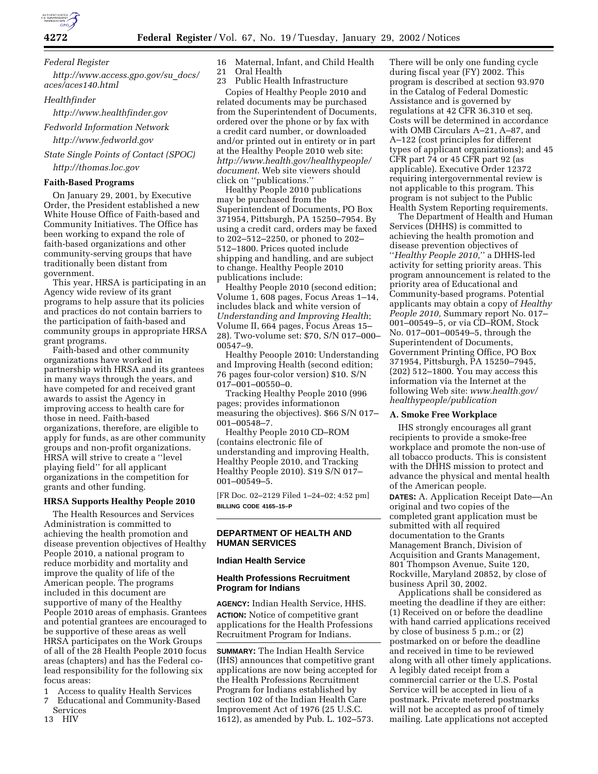**4272 Federal Register** / Vol. 67, No. 19 / Tuesday, January 29, 2002 / Notices

*Federal Register*

*http://www.access.gpo.gov/su*\_*docs/ aces/aces140.html*

*Healthfinder*

*http://www.healthfinder.gov*

*Fedworld Information Network http://www.fedworld.gov*

*State Single Points of Contact (SPOC) http://thomas.loc.gov*

### **Faith-Based Programs**

On January 29, 2001, by Executive Order, the President established a new White House Office of Faith-based and Community Initiatives. The Office has been working to expand the role of faith-based organizations and other community-serving groups that have traditionally been distant from government.

This year, HRSA is participating in an Agency wide review of its grant programs to help assure that its policies and practices do not contain barriers to the participation of faith-based and community groups in appropriate HRSA grant programs.

Faith-based and other community organizations have worked in partnership with HRSA and its grantees in many ways through the years, and have competed for and received grant awards to assist the Agency in improving access to health care for those in need. Faith-based organizations, therefore, are eligible to apply for funds, as are other community groups and non-profit organizations. HRSA will strive to create a ''level playing field'' for all applicant organizations in the competition for grants and other funding.

### **HRSA Supports Healthy People 2010**

The Health Resources and Services Administration is committed to achieving the health promotion and disease prevention objectives of Healthy People 2010, a national program to reduce morbidity and mortality and improve the quality of life of the American people. The programs included in this document are supportive of many of the Healthy People 2010 areas of emphasis. Grantees and potential grantees are encouraged to be supportive of these areas as well HRSA participates on the Work Groups of all of the 28 Health People 2010 focus areas (chapters) and has the Federal colead responsibility for the following six focus areas:

1 Access to quality Health Services

7 Educational and Community-Based Services<br>13 HIV

13 HIV

16 Maternal, Infant, and Child Health 21 Oral Health

23 Public Health Infrastructure Copies of Healthy People 2010 and related documents may be purchased from the Superintendent of Documents, ordered over the phone or by fax with a credit card number, or downloaded and/or printed out in entirety or in part at the Healthy People 2010 web site: *http://www.health.gov/healthypeople/ document*. Web site viewers should click on ''publications.''

Healthy People 2010 publications may be purchased from the Superintendent of Documents, PO Box 371954, Pittsburgh, PA 15250–7954. By using a credit card, orders may be faxed to 202–512–2250, or phoned to 202– 512–1800. Prices quoted include shipping and handling, and are subject to change. Healthy People 2010 publications include:

Healthy People 2010 (second edition; Volume 1, 608 pages, Focus Areas 1–14, includes black and white version of *Understanding and Improving Health*; Volume II, 664 pages, Focus Areas 15– 28). Two-volume set: \$70, S/N 017–000– 00547–9.

Healthy Peoople 2010: Understanding and Improving Health (second edition; 76 pages four-color version) \$10. S/N 017–001–00550–0.

Tracking Healthy People 2010 (996 pages; provides informationon measuring the objectives). \$66 S/N 017– 001–00548–7.

Healthy People 2010 CD–ROM (contains electronic file of understanding and improving Health, Healthy People 2010, and Tracking Healthy People 2010). \$19 S/N 017– 001–00549–5.

[FR Doc. 02–2129 Filed 1–24–02; 4:52 pm] **BILLING CODE 4165–15–P**

## **DEPARTMENT OF HEALTH AND HUMAN SERVICES**

### **Indian Health Service**

## **Health Professions Recruitment Program for Indians**

**AGENCY:** Indian Health Service, HHS. **ACTION:** Notice of competitive grant applications for the Health Professions Recruitment Program for Indians.

**SUMMARY:** The Indian Health Service (IHS) announces that competitive grant applications are now being accepted for the Health Professions Recruitment Program for Indians established by section 102 of the Indian Health Care Improvement Act of 1976 (25 U.S.C. 1612), as amended by Pub. L. 102–573.

There will be only one funding cycle during fiscal year (FY) 2002. This program is described at section 93.970 in the Catalog of Federal Domestic Assistance and is governed by regulations at 42 CFR 36.310 et seq. Costs will be determined in accordance with OMB Circulars A–21, A–87, and A–122 (cost principles for different types of applicant organizations); and 45 CFR part 74 or 45 CFR part 92 (as applicable). Executive Order 12372 requiring intergovernmental review is not applicable to this program. This program is not subject to the Public Health System Reporting requirements.

The Department of Health and Human Services (DHHS) is committed to achieving the health promotion and disease prevention objectives of ''*Healthy People 2010,*'' a DHHS-led activity for setting priority areas. This program announcement is related to the priority area of Educational and Community-based programs. Potential applicants may obtain a copy of *Healthy People 2010,* Summary report No. 017– 001–00549–5, or via CD–ROM, Stock No. 017–001–00549–5, through the Superintendent of Documents, Government Printing Office, PO Box 371954, Pittsburgh, PA 15250–7945, (202) 512–1800. You may access this information via the Internet at the following Web site: *www.health.gov/ healthypeople/publication*

### **A. Smoke Free Workplace**

IHS strongly encourages all grant recipients to provide a smoke-free workplace and promote the non-use of all tobacco products. This is consistent with the DHHS mission to protect and advance the physical and mental health of the American people.

**DATES:** A. Application Receipt Date—An original and two copies of the completed grant application must be submitted with all required documentation to the Grants Management Branch, Division of Acquisition and Grants Management, 801 Thompson Avenue, Suite 120, Rockville, Maryland 20852, by close of business April 30, 2002.

Applications shall be considered as meeting the deadline if they are either: (1) Received on or before the deadline with hand carried applications received by close of business 5 p.m.; or (2) postmarked on or before the deadline and received in time to be reviewed along with all other timely applications. A legibly dated receipt from a commercial carrier or the U.S. Postal Service will be accepted in lieu of a postmark. Private metered postmarks will not be accepted as proof of timely mailing. Late applications not accepted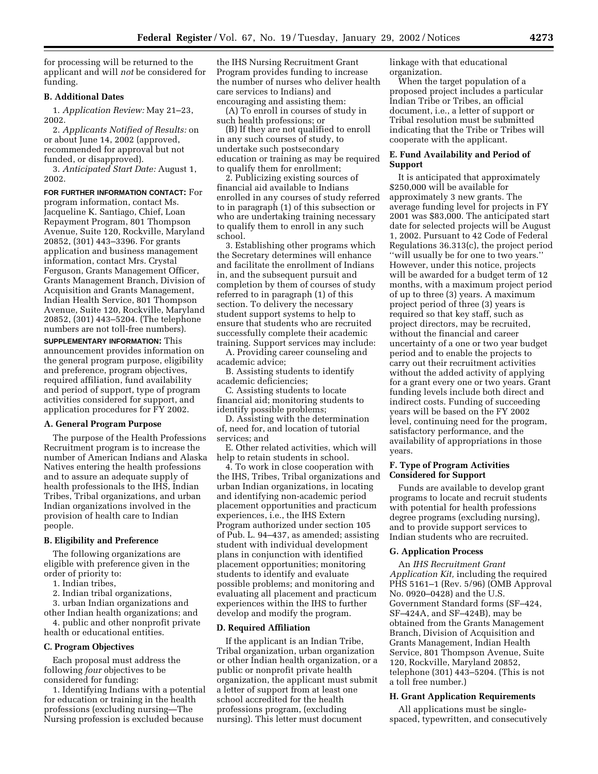for processing will be returned to the applicant and will *not* be considered for funding.

## **B. Additional Dates**

1. *Application Review:* May 21–23, 2002.

2. *Applicants Notified of Results:* on or about June 14, 2002 (approved, recommended for approval but not funded, or disapproved).

3. *Anticipated Start Date:* August 1, 2002.

**FOR FURTHER INFORMATION CONTACT:** For program information, contact Ms. Jacqueline K. Santiago, Chief, Loan Repayment Program, 801 Thompson Avenue, Suite 120, Rockville, Maryland 20852, (301) 443–3396. For grants application and business management information, contact Mrs. Crystal Ferguson, Grants Management Officer, Grants Management Branch, Division of Acquisition and Grants Management, Indian Health Service, 801 Thompson Avenue, Suite 120, Rockville, Maryland 20852, (301) 443–5204. (The telephone numbers are not toll-free numbers).

**SUPPLEMENTARY INFORMATION:** This announcement provides information on the general program purpose, eligibility and preference, program objectives, required affiliation, fund availability and period of support, type of program activities considered for support, and application procedures for FY 2002.

## **A. General Program Purpose**

The purpose of the Health Professions Recruitment program is to increase the number of American Indians and Alaska Natives entering the health professions and to assure an adequate supply of health professionals to the IHS, Indian Tribes, Tribal organizations, and urban Indian organizations involved in the provision of health care to Indian people.

#### **B. Eligibility and Preference**

The following organizations are eligible with preference given in the order of priority to:

1. Indian tribes,

2. Indian tribal organizations,

3. urban Indian organizations and

other Indian health organizations; and 4. public and other nonprofit private

health or educational entities.

# **C. Program Objectives**

Each proposal must address the following *four* objectives to be considered for funding:

1. Identifying Indians with a potential for education or training in the health professions (excluding nursing—The Nursing profession is excluded because

the IHS Nursing Recruitment Grant Program provides funding to increase the number of nurses who deliver health care services to Indians) and encouraging and assisting them:

(A) To enroll in courses of study in such health professions; or

(B) If they are not qualified to enroll in any such courses of study, to undertake such postsecondary education or training as may be required to qualify them for enrollment;

2. Publicizing existing sources of financial aid available to Indians enrolled in any courses of study referred to in paragraph (1) of this subsection or who are undertaking training necessary to qualify them to enroll in any such school.

3. Establishing other programs which the Secretary determines will enhance and facilitate the enrollment of Indians in, and the subsequent pursuit and completion by them of courses of study referred to in paragraph (1) of this section. To delivery the necessary student support systems to help to ensure that students who are recruited successfully complete their academic training. Support services may include:

A. Providing career counseling and academic advice;

B. Assisting students to identify academic deficiencies;

C. Assisting students to locate financial aid; monitoring students to identify possible problems;

D. Assisting with the determination of, need for, and location of tutorial services; and

E. Other related activities, which will help to retain students in school.

4. To work in close cooperation with the IHS, Tribes, Tribal organizations and urban Indian organizations, in locating and identifying non-academic period placement opportunities and practicum experiences, i.e., the IHS Extern Program authorized under section 105 of Pub. L. 94–437, as amended; assisting student with individual development plans in conjunction with identified placement opportunities; monitoring students to identify and evaluate possible problems; and monitoring and evaluating all placement and practicum experiences within the IHS to further develop and modify the program.

#### **D. Required Affiliation**

If the applicant is an Indian Tribe, Tribal organization, urban organization or other Indian health organization, or a public or nonprofit private health organization, the applicant must submit a letter of support from at least one school accredited for the health professions program, (excluding nursing). This letter must document

linkage with that educational organization.

When the target population of a proposed project includes a particular Indian Tribe or Tribes, an official document, i.e., a letter of support or Tribal resolution must be submitted indicating that the Tribe or Tribes will cooperate with the applicant.

## **E. Fund Availability and Period of Support**

It is anticipated that approximately \$250,000 will be available for approximately 3 new grants. The average funding level for projects in FY 2001 was \$83,000. The anticipated start date for selected projects will be August 1, 2002. Pursuant to 42 Code of Federal Regulations 36.313(c), the project period ''will usually be for one to two years.'' However, under this notice, projects will be awarded for a budget term of 12 months, with a maximum project period of up to three (3) years. A maximum project period of three (3) years is required so that key staff, such as project directors, may be recruited, without the financial and career uncertainty of a one or two year budget period and to enable the projects to carry out their recruitment activities without the added activity of applying for a grant every one or two years. Grant funding levels include both direct and indirect costs. Funding of succeeding years will be based on the FY 2002 level, continuing need for the program, satisfactory performance, and the availability of appropriations in those years.

## **F. Type of Program Activities Considered for Support**

Funds are available to develop grant programs to locate and recruit students with potential for health professions degree programs (excluding nursing), and to provide support services to Indian students who are recruited.

## **G. Application Process**

An *IHS Recruitment Grant Application Kit,* including the required PHS 5161–1 (Rev. 5/96) (OMB Approval No. 0920–0428) and the U.S. Government Standard forms (SF–424, SF–424A, and SF–424B), may be obtained from the Grants Management Branch, Division of Acquisition and Grants Management, Indian Health Service, 801 Thompson Avenue, Suite 120, Rockville, Maryland 20852, telephone (301) 443–5204. (This is not a toll free number.)

### **H. Grant Application Requirements**

All applications must be singlespaced, typewritten, and consecutively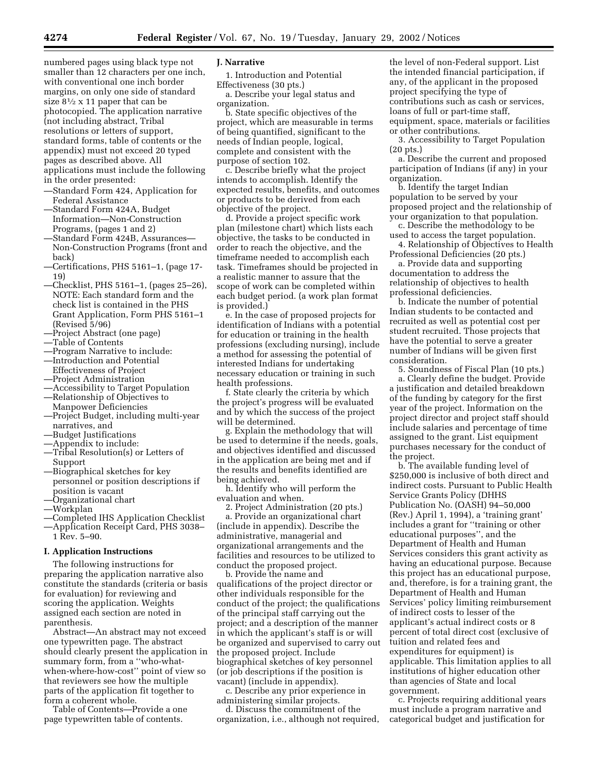numbered pages using black type not smaller than 12 characters per one inch, with conventional one inch border margins, on only one side of standard size  $8\frac{1}{2} \times 11$  paper that can be photocopied. The application narrative (not including abstract, Tribal resolutions or letters of support, standard forms, table of contents or the appendix) must not exceed 20 typed pages as described above. All applications must include the following in the order presented:

- —Standard Form 424, Application for Federal Assistance
- —Standard Form 424A, Budget Information—Non-Construction Programs, (pages 1 and 2)
- —Standard Form 424B, Assurances— Non-Construction Programs (front and back)
- —Certifications, PHS 5161–1, (page 17- 19)
- —Checklist, PHS 5161–1, (pages 25–26), NOTE: Each standard form and the check list is contained in the PHS Grant Application, Form PHS 5161–1 (Revised 5/96)
- —Project Abstract (one page)
- —Table of Contents
- —Program Narrative to include:
- —Introduction and Potential Effectiveness of Project
- —Project Administration
- 
- —Accessibility to Target Population —Relationship of Objectives to
- Manpower Deficiencies
- —Project Budget, including multi-year narratives, and
- —Budget Justifications
- —Appendix to include:
- —Tribal Resolution(s) or Letters of Support
- —Biographical sketches for key personnel or position descriptions if position is vacant
- —Organizational chart
- —Workplan
- —Completed IHS Application Checklist
- —Application Receipt Card, PHS 3038– 1 Rev. 5–90.

#### **I. Application Instructions**

The following instructions for preparing the application narrative also constitute the standards (criteria or basis for evaluation) for reviewing and scoring the application. Weights assigned each section are noted in parenthesis.

Abstract—An abstract may not exceed one typewritten page. The abstract should clearly present the application in summary form, from a ''who-whatwhen-where-how-cost'' point of view so that reviewers see how the multiple parts of the application fit together to form a coherent whole.

Table of Contents—Provide a one page typewritten table of contents.

## **J. Narrative**

1. Introduction and Potential Effectiveness (30 pts.)

a. Describe your legal status and organization.

b. State specific objectives of the project, which are measurable in terms of being quantified, significant to the needs of Indian people, logical, complete and consistent with the purpose of section 102.

c. Describe briefly what the project intends to accomplish. Identify the expected results, benefits, and outcomes or products to be derived from each objective of the project.

d. Provide a project specific work plan (milestone chart) which lists each objective, the tasks to be conducted in order to reach the objective, and the timeframe needed to accomplish each task. Timeframes should be projected in a realistic manner to assure that the scope of work can be completed within each budget period. (a work plan format is provided.)

e. In the case of proposed projects for identification of Indians with a potential for education or training in the health professions (excluding nursing), include a method for assessing the potential of interested Indians for undertaking necessary education or training in such health professions.

f. State clearly the criteria by which the project's progress will be evaluated and by which the success of the project will be determined.

g. Explain the methodology that will be used to determine if the needs, goals, and objectives identified and discussed in the application are being met and if the results and benefits identified are being achieved.

h. Identify who will perform the evaluation and when.

2. Project Administration (20 pts.)

a. Provide an organizational chart (include in appendix). Describe the administrative, managerial and organizational arrangements and the facilities and resources to be utilized to conduct the proposed project.

b. Provide the name and qualifications of the project director or other individuals responsible for the conduct of the project; the qualifications of the principal staff carrying out the project; and a description of the manner in which the applicant's staff is or will be organized and supervised to carry out the proposed project. Include biographical sketches of key personnel (or job descriptions if the position is vacant) (include in appendix).

c. Describe any prior experience in administering similar projects.

d. Discuss the commitment of the organization, i.e., although not required,

the level of non-Federal support. List the intended financial participation, if any, of the applicant in the proposed project specifying the type of contributions such as cash or services, loans of full or part-time staff, equipment, space, materials or facilities or other contributions.

3. Accessibility to Target Population (20 pts.)

a. Describe the current and proposed participation of Indians (if any) in your organization.

b. Identify the target Indian population to be served by your proposed project and the relationship of your organization to that population.

c. Describe the methodology to be used to access the target population.

4. Relationship of Objectives to Health Professional Deficiencies (20 pts.)

a. Provide data and supporting documentation to address the relationship of objectives to health professional deficiencies.

b. Indicate the number of potential Indian students to be contacted and recruited as well as potential cost per student recruited. Those projects that have the potential to serve a greater number of Indians will be given first consideration.

5. Soundness of Fiscal Plan (10 pts.)

a. Clearly define the budget. Provide a justification and detailed breakdown of the funding by category for the first year of the project. Information on the project director and project staff should include salaries and percentage of time assigned to the grant. List equipment purchases necessary for the conduct of the project.

b. The available funding level of \$250,000 is inclusive of both direct and indirect costs. Pursuant to Public Health Service Grants Policy (DHHS Publication No. (OASH) 94–50,000 (Rev.) April 1, 1994), a 'training grant' includes a grant for ''training or other educational purposes'', and the Department of Health and Human Services considers this grant activity as having an educational purpose. Because this project has an educational purpose, and, therefore, is for a training grant, the Department of Health and Human Services' policy limiting reimbursement of indirect costs to lesser of the applicant's actual indirect costs or 8 percent of total direct cost (exclusive of tuition and related fees and expenditures for equipment) is applicable. This limitation applies to all institutions of higher education other than agencies of State and local government.

c. Projects requiring additional years must include a program narrative and categorical budget and justification for